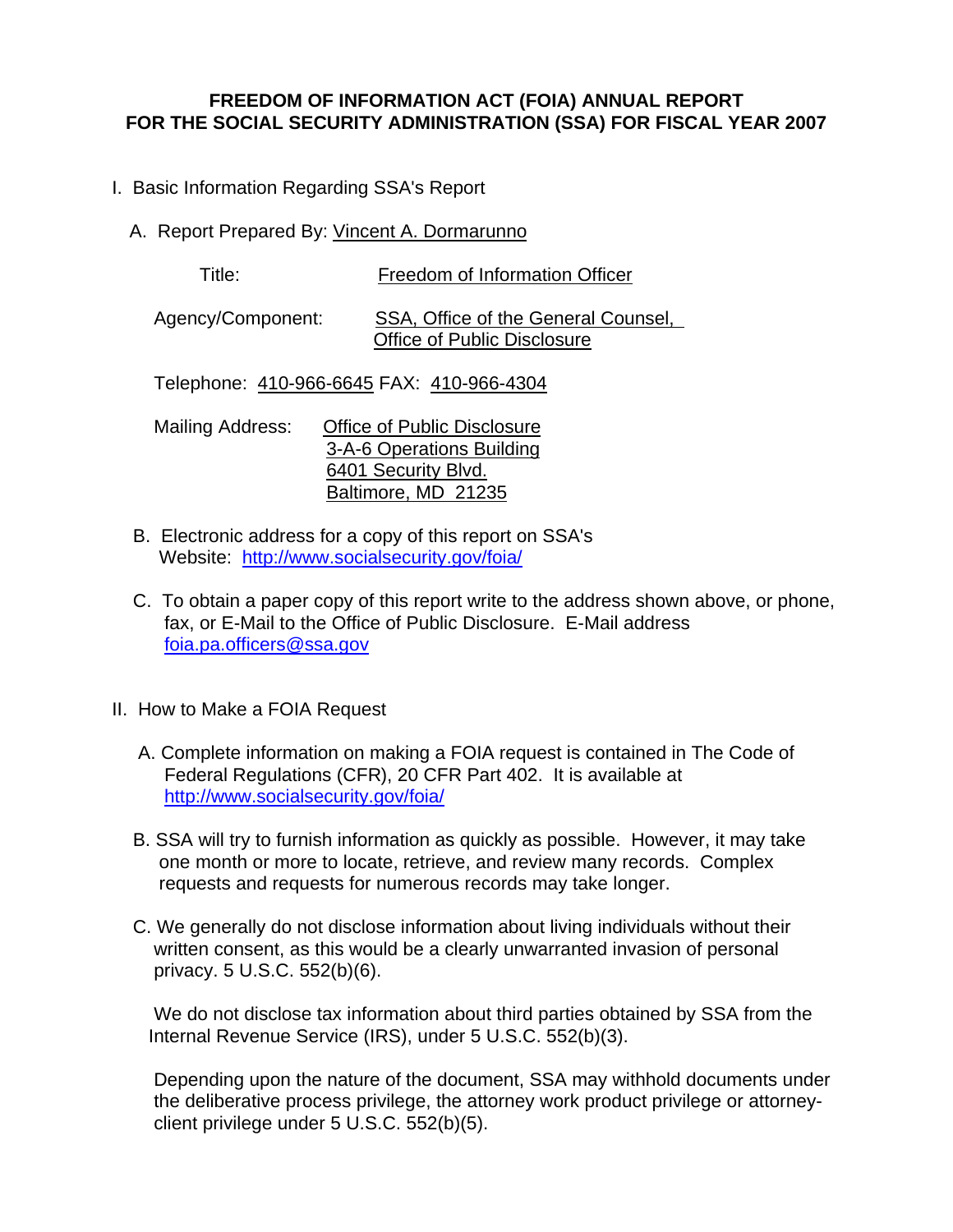## **FREEDOM OF INFORMATION ACT (FOIA) ANNUAL REPORT FOR THE SOCIAL SECURITY ADMINISTRATION (SSA) FOR FISCAL YEAR 2007**

- I. Basic Information Regarding SSA's Report
	- A. Report Prepared By: Vincent A. Dormarunno

Title: Freedom of Information Officer

 Agency/Component: SSA, Office of the General Counsel, Office of Public Disclosure

Telephone: 410-966-6645 FAX: 410-966-4304

Mailing Address: Office of Public Disclosure 3-A-6 Operations Building 6401 Security Blvd. Baltimore, MD 21235

- B. Electronic address for a copy of this report on SSA's Website: <http://www.socialsecurity.gov/foia/>
- C. To obtain a paper copy of this report write to the address shown above, or phone, fax, or E-Mail to the Office of Public Disclosure. E-Mail address [foia.pa.officers@ssa.gov](mailto:www.foia.pa.officers@ssa.gov)
- II. How to Make a FOIA Request
	- A. Complete information on making a FOIA request is contained in The Code of Federal Regulations (CFR), 20 CFR Part 402. It is available at <http://www.socialsecurity.gov/foia/>
	- B. SSA will try to furnish information as quickly as possible. However, it may take one month or more to locate, retrieve, and review many records. Complex requests and requests for numerous records may take longer.
	- C. We generally do not disclose information about living individuals without their written consent, as this would be a clearly unwarranted invasion of personal privacy. 5 U.S.C. 552(b)(6).

 We do not disclose tax information about third parties obtained by SSA from the Internal Revenue Service (IRS), under 5 U.S.C. 552(b)(3).

 Depending upon the nature of the document, SSA may withhold documents under the deliberative process privilege, the attorney work product privilege or attorney client privilege under 5 U.S.C. 552(b)(5).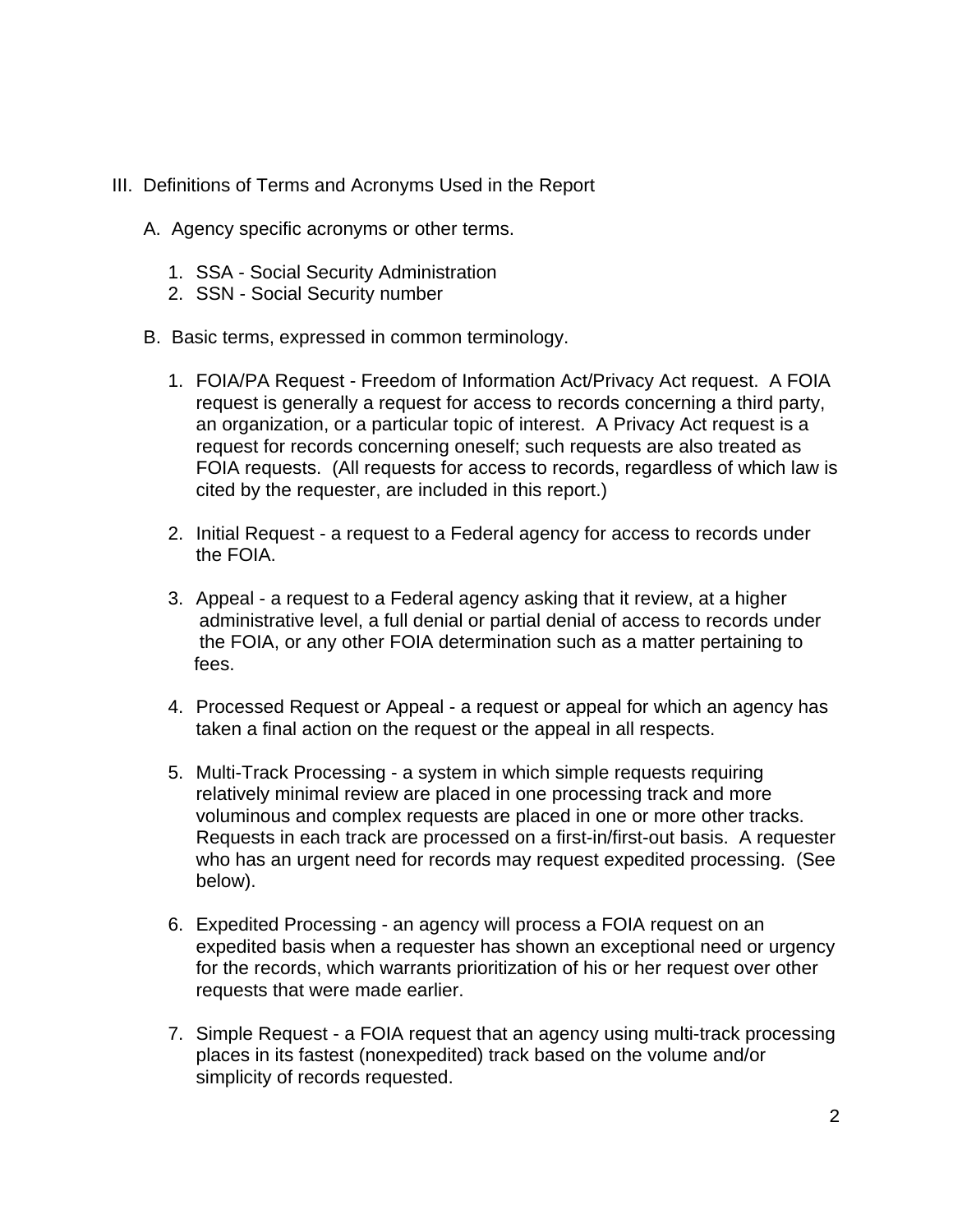- III. Definitions of Terms and Acronyms Used in the Report
	- A. Agency specific acronyms or other terms.
		- 1. SSA Social Security Administration
		- 2. SSN Social Security number
	- B. Basic terms, expressed in common terminology.
		- 1. FOIA/PA Request Freedom of Information Act/Privacy Act request. A FOIA request is generally a request for access to records concerning a third party, an organization, or a particular topic of interest. A Privacy Act request is a request for records concerning oneself; such requests are also treated as FOIA requests. (All requests for access to records, regardless of which law is cited by the requester, are included in this report.)
		- 2. Initial Request a request to a Federal agency for access to records under the FOIA.
		- 3. Appeal a request to a Federal agency asking that it review, at a higher administrative level, a full denial or partial denial of access to records under the FOIA, or any other FOIA determination such as a matter pertaining to fees.
		- 4. Processed Request or Appeal a request or appeal for which an agency has taken a final action on the request or the appeal in all respects.
		- 5. Multi-Track Processing a system in which simple requests requiring relatively minimal review are placed in one processing track and more voluminous and complex requests are placed in one or more other tracks. Requests in each track are processed on a first-in/first-out basis. A requester who has an urgent need for records may request expedited processing. (See below).
		- 6. Expedited Processing an agency will process a FOIA request on an expedited basis when a requester has shown an exceptional need or urgency for the records, which warrants prioritization of his or her request over other requests that were made earlier.
		- 7. Simple Request a FOIA request that an agency using multi-track processing places in its fastest (nonexpedited) track based on the volume and/or simplicity of records requested.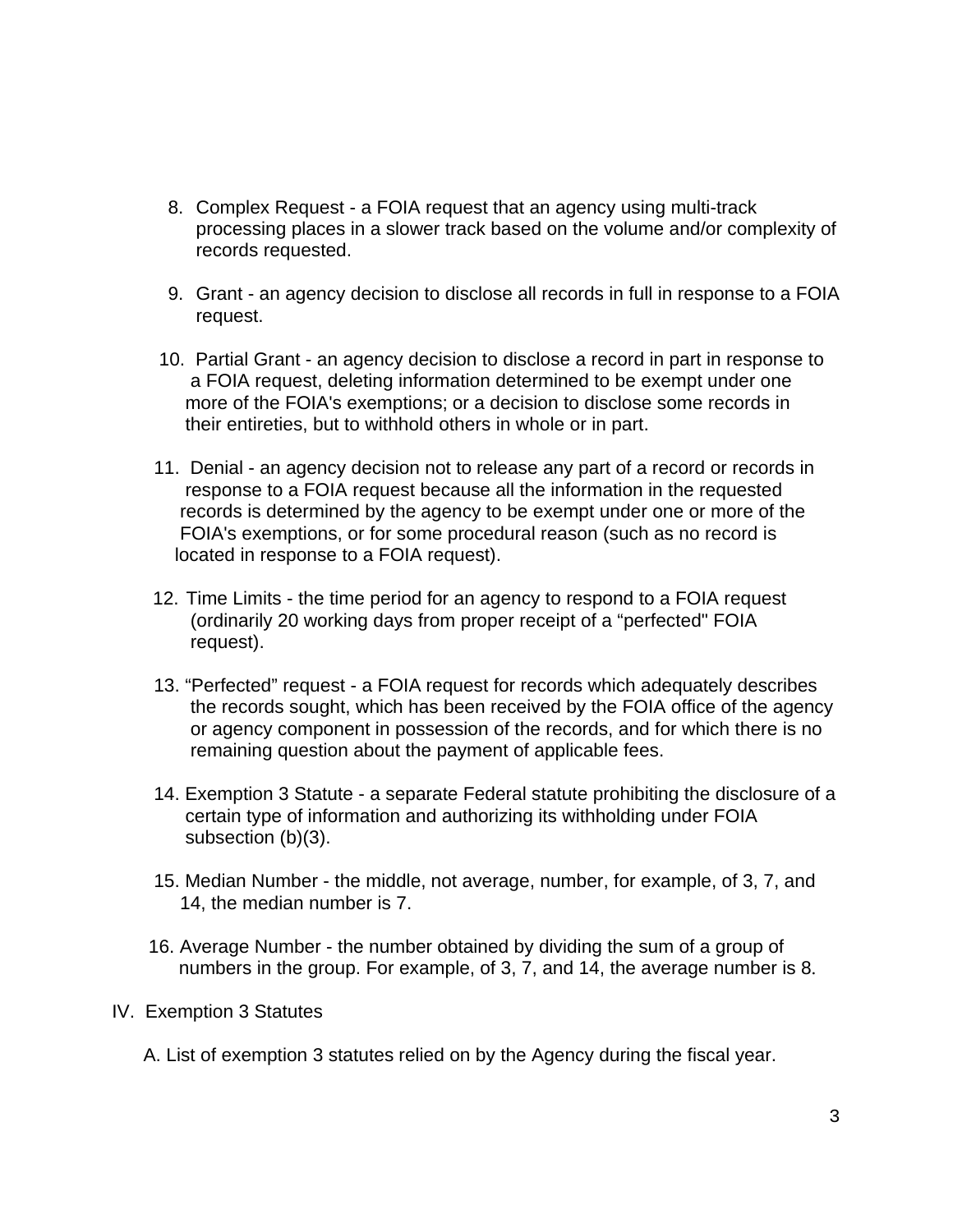- 8. Complex Request a FOIA request that an agency using multi-track processing places in a slower track based on the volume and/or complexity of records requested.
- 9. Grant an agency decision to disclose all records in full in response to a FOIA request.
- 10. Partial Grant an agency decision to disclose a record in part in response to a FOIA request, deleting information determined to be exempt under one more of the FOIA's exemptions; or a decision to disclose some records in their entireties, but to withhold others in whole or in part.
- 11. Denial an agency decision not to release any part of a record or records in response to a FOIA request because all the information in the requested records is determined by the agency to be exempt under one or more of the FOIA's exemptions, or for some procedural reason (such as no record is located in response to a FOIA request).
- 12. Time Limits the time period for an agency to respond to a FOIA request (ordinarily 20 working days from proper receipt of a "perfected" FOIA request).
- 13. "Perfected" request a FOIA request for records which adequately describes the records sought, which has been received by the FOIA office of the agency or agency component in possession of the records, and for which there is no remaining question about the payment of applicable fees.
- 14. Exemption 3 Statute a separate Federal statute prohibiting the disclosure of a certain type of information and authorizing its withholding under FOIA subsection (b)(3).
- 15. Median Number the middle, not average, number, for example, of 3, 7, and 14, the median number is 7.
- 16. Average Number the number obtained by dividing the sum of a group of numbers in the group. For example, of 3, 7, and 14, the average number is 8.

## IV. Exemption 3 Statutes

A. List of exemption 3 statutes relied on by the Agency during the fiscal year.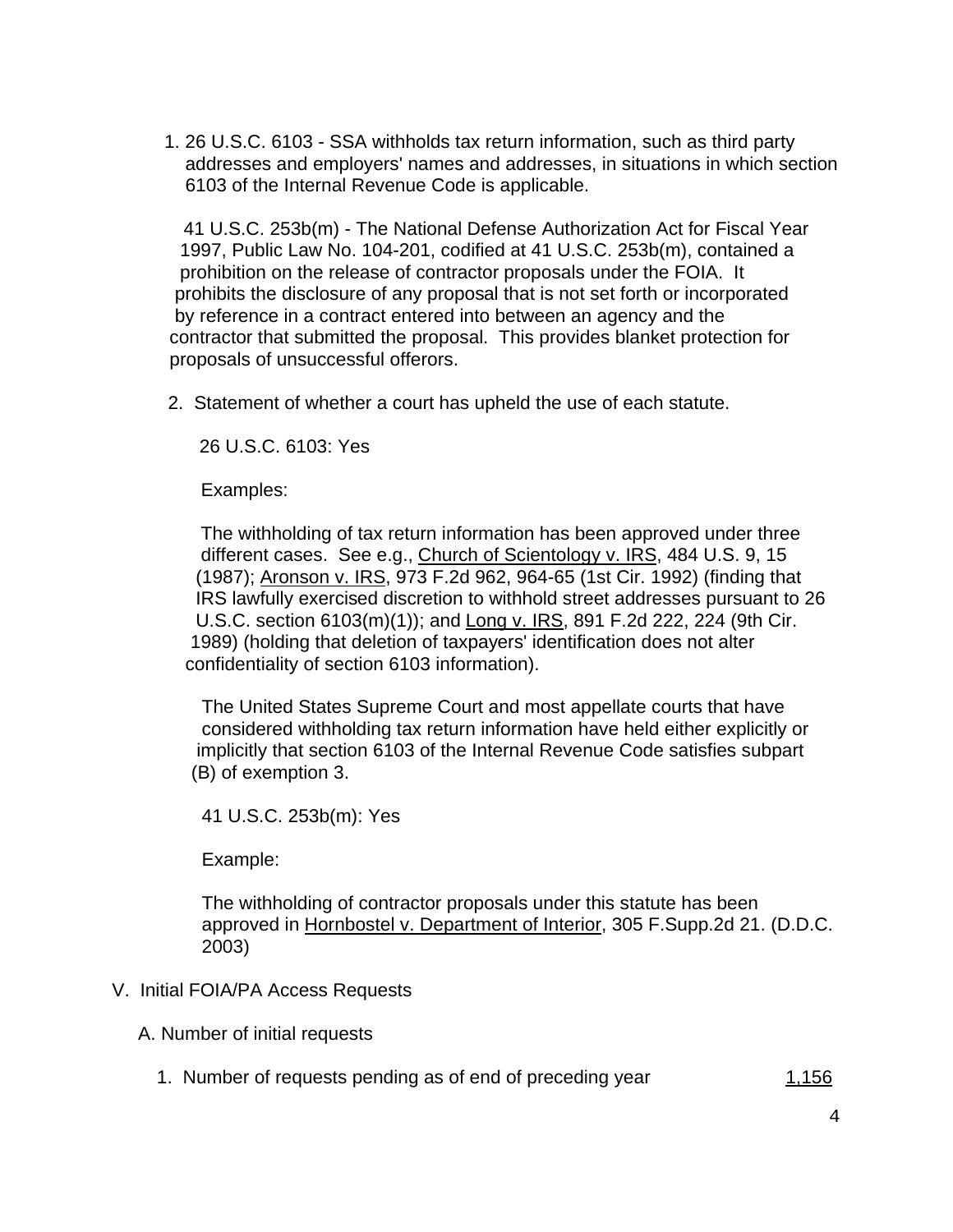1. 26 U.S.C. 6103 - SSA withholds tax return information, such as third party addresses and employers' names and addresses, in situations in which section 6103 of the Internal Revenue Code is applicable.

 41 U.S.C. 253b(m) - The National Defense Authorization Act for Fiscal Year 1997, Public Law No. 104-201, codified at 41 U.S.C. 253b(m), contained a prohibition on the release of contractor proposals under the FOIA. It prohibits the disclosure of any proposal that is not set forth or incorporated by reference in a contract entered into between an agency and the contractor that submitted the proposal. This provides blanket protection for proposals of unsuccessful offerors.

2. Statement of whether a court has upheld the use of each statute.

26 U.S.C. 6103: Yes

Examples:

 The withholding of tax return information has been approved under three different cases. See e.g., Church of Scientology v. IRS, 484 U.S. 9, 15 (1987); Aronson v. IRS, 973 F.2d 962, 964-65 (1st Cir. 1992) (finding that IRS lawfully exercised discretion to withhold street addresses pursuant to 26 U.S.C. section 6103(m)(1)); and Long v. IRS, 891 F.2d 222, 224 (9th Cir. 1989) (holding that deletion of taxpayers' identification does not alter confidentiality of section 6103 information).

 The United States Supreme Court and most appellate courts that have considered withholding tax return information have held either explicitly or implicitly that section 6103 of the Internal Revenue Code satisfies subpart (B) of exemption 3.

41 U.S.C. 253b(m): Yes

Example:

 The withholding of contractor proposals under this statute has been approved in Hornbostel v. Department of Interior, 305 F.Supp.2d 21. (D.D.C. 2003)

## V. Initial FOIA/PA Access Requests

A. Number of initial requests

1. Number of requests pending as of end of preceding year 1,156

4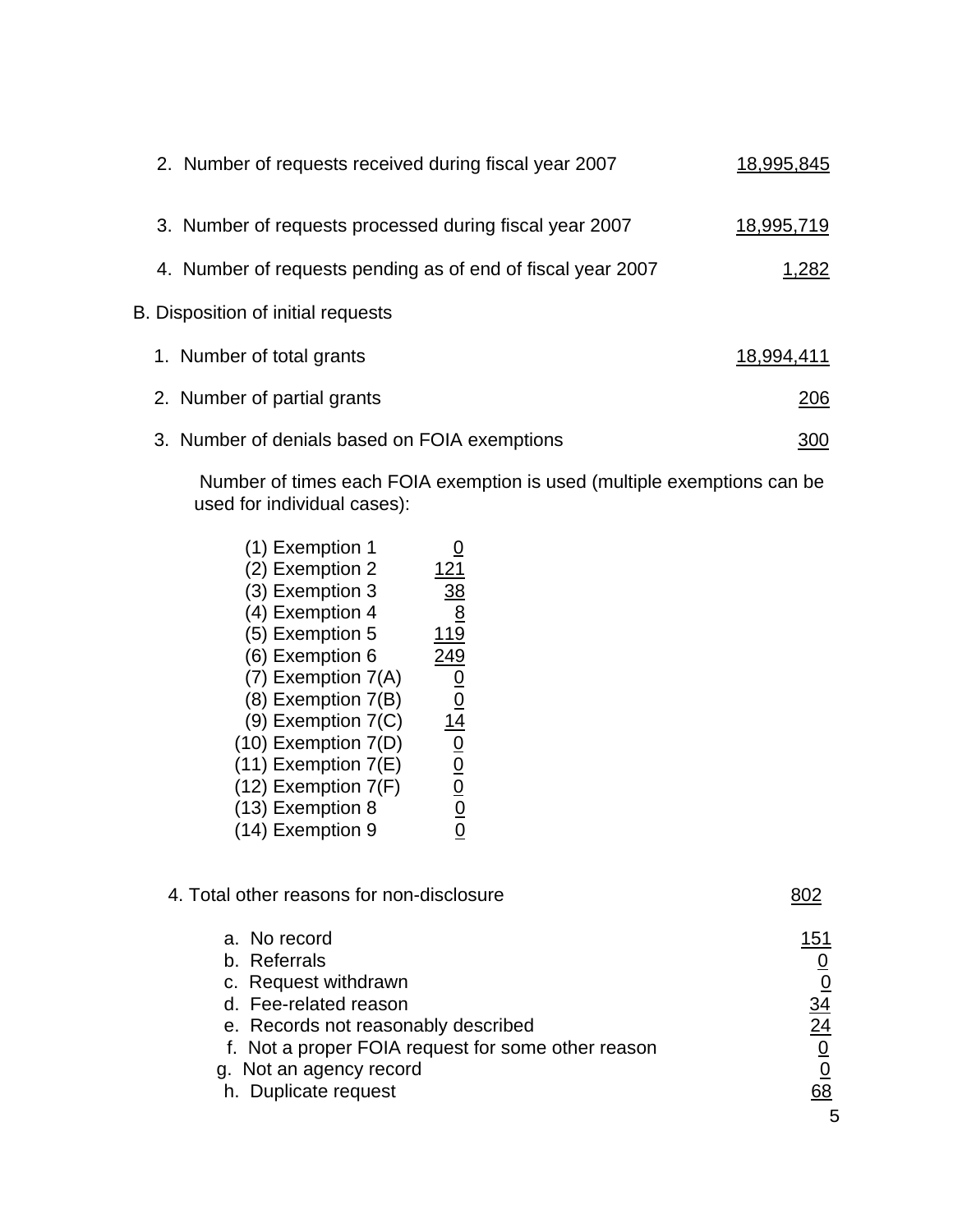| 2. Number of requests received during fiscal year 2007      | 18,995,845 |
|-------------------------------------------------------------|------------|
| 3. Number of requests processed during fiscal year 2007     | 18,995,719 |
| 4. Number of requests pending as of end of fiscal year 2007 | 1,282      |
| B. Disposition of initial requests                          |            |
| 1. Number of total grants                                   | 18,994,411 |
| 2. Number of partial grants                                 | 206        |
| 3. Number of denials based on FOIA exemptions               | 300        |

 Number of times each FOIA exemption is used (multiple exemptions can be used for individual cases):

| (1) Exemption 1         |               |
|-------------------------|---------------|
| (2) Exemption 2         | 121           |
| (3) Exemption 3         | <u>38</u>     |
| (4) Exemption 4         | 8             |
| (5) Exemption 5         | 119           |
| (6) Exemption 6         | 249           |
| $(7)$ Exemption $7(A)$  | $\frac{0}{0}$ |
| (8) Exemption 7(B)      |               |
| $(9)$ Exemption $7(C)$  | 14            |
| $(10)$ Exemption $7(D)$ |               |
| $(11)$ Exemption $7(E)$ | $\frac{0}{0}$ |
| $(12)$ Exemption $7(F)$ | $\frac{0}{0}$ |
| (13) Exemption 8        |               |
| (14) Exemption 9        |               |
|                         |               |

| 4. Total other reasons for non-disclosure                                                                                                                                                                                     |                                               |
|-------------------------------------------------------------------------------------------------------------------------------------------------------------------------------------------------------------------------------|-----------------------------------------------|
| a. No record<br>b. Referrals<br>c. Request withdrawn<br>d. Fee-related reason<br>e. Records not reasonably described<br>f. Not a proper FOIA request for some other reason<br>g. Not an agency record<br>h. Duplicate request | 151<br><u>0</u><br>$\frac{34}{24}$<br>68<br>5 |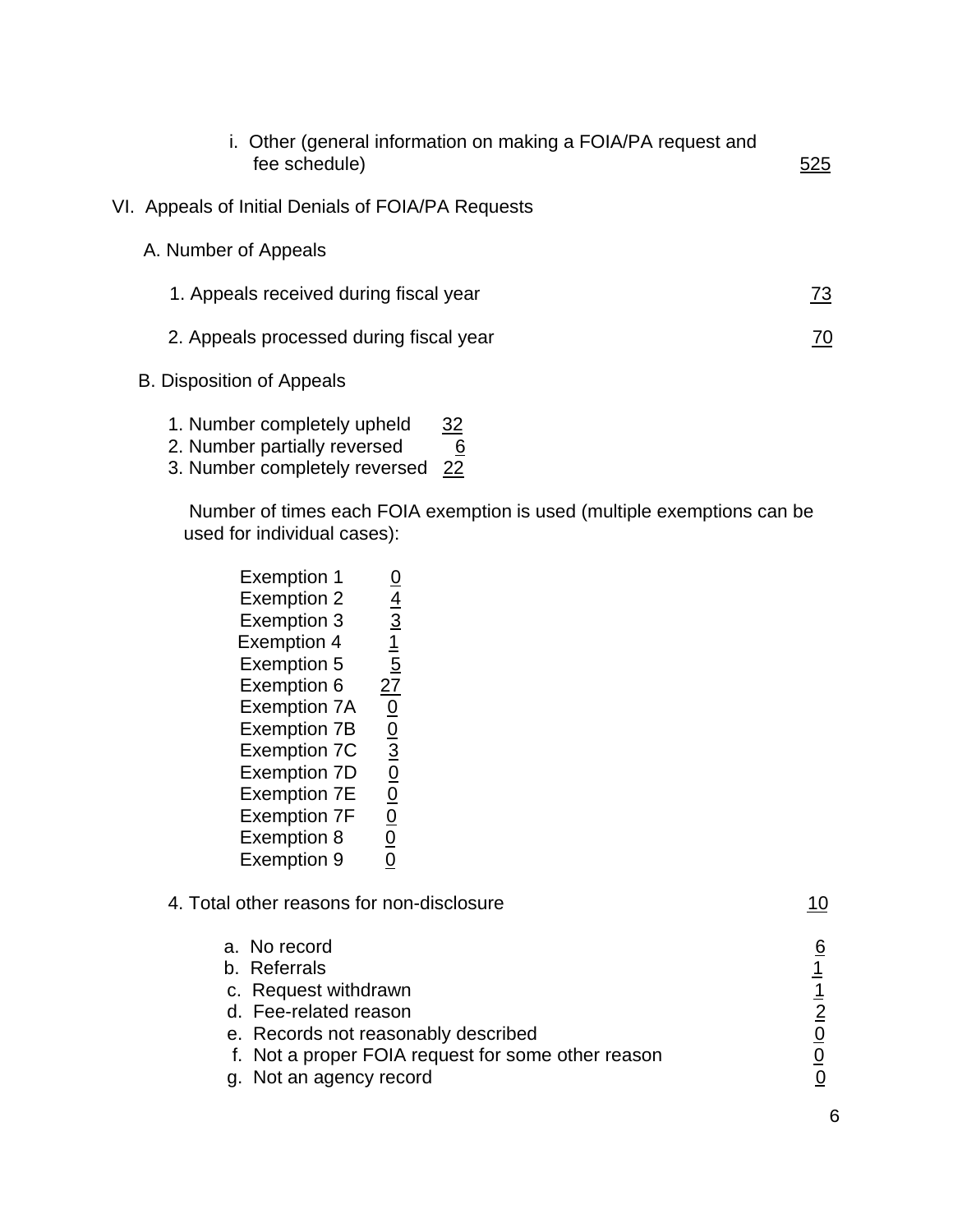| i. Other (general information on making a FOIA/PA request and<br>fee schedule)                                 | 525 |
|----------------------------------------------------------------------------------------------------------------|-----|
| VI. Appeals of Initial Denials of FOIA/PA Requests                                                             |     |
| A. Number of Appeals                                                                                           |     |
| 1. Appeals received during fiscal year                                                                         | 73  |
| 2. Appeals processed during fiscal year                                                                        | 70  |
| <b>B. Disposition of Appeals</b>                                                                               |     |
| at Nilson and a constant and a state of the state of the state of the state of the state of the state of the s |     |

- 1. Number completely upheld 32
- 2. Number partially reversed  $\overline{6}$
- 3. Number completely reversed 22

 Number of times each FOIA exemption is used (multiple exemptions can be used for individual cases):

| <b>Exemption 1</b>  |                                           |
|---------------------|-------------------------------------------|
| <b>Exemption 2</b>  |                                           |
| <b>Exemption 3</b>  |                                           |
| <b>Exemption 4</b>  | $\frac{0}{4}$ $\frac{4}{3}$ $\frac{1}{5}$ |
| <b>Exemption 5</b>  |                                           |
| Exemption 6         | $\overline{27}$                           |
| <b>Exemption 7A</b> | $\frac{1}{10}$                            |
| <b>Exemption 7B</b> |                                           |
| <b>Exemption 7C</b> |                                           |
| <b>Exemption 7D</b> |                                           |
| <b>Exemption 7E</b> |                                           |
| <b>Exemption 7F</b> | $\frac{0}{0}$                             |
| Exemption 8         |                                           |
| <b>Exemption 9</b>  |                                           |
|                     |                                           |

| 4. Total other reasons for non-disclosure          |   |
|----------------------------------------------------|---|
| a. No record                                       | 6 |
| b. Referrals                                       |   |
| c. Request withdrawn                               |   |
| d. Fee-related reason                              |   |
| e. Records not reasonably described                |   |
| f. Not a proper FOIA request for some other reason |   |
| g. Not an agency record                            |   |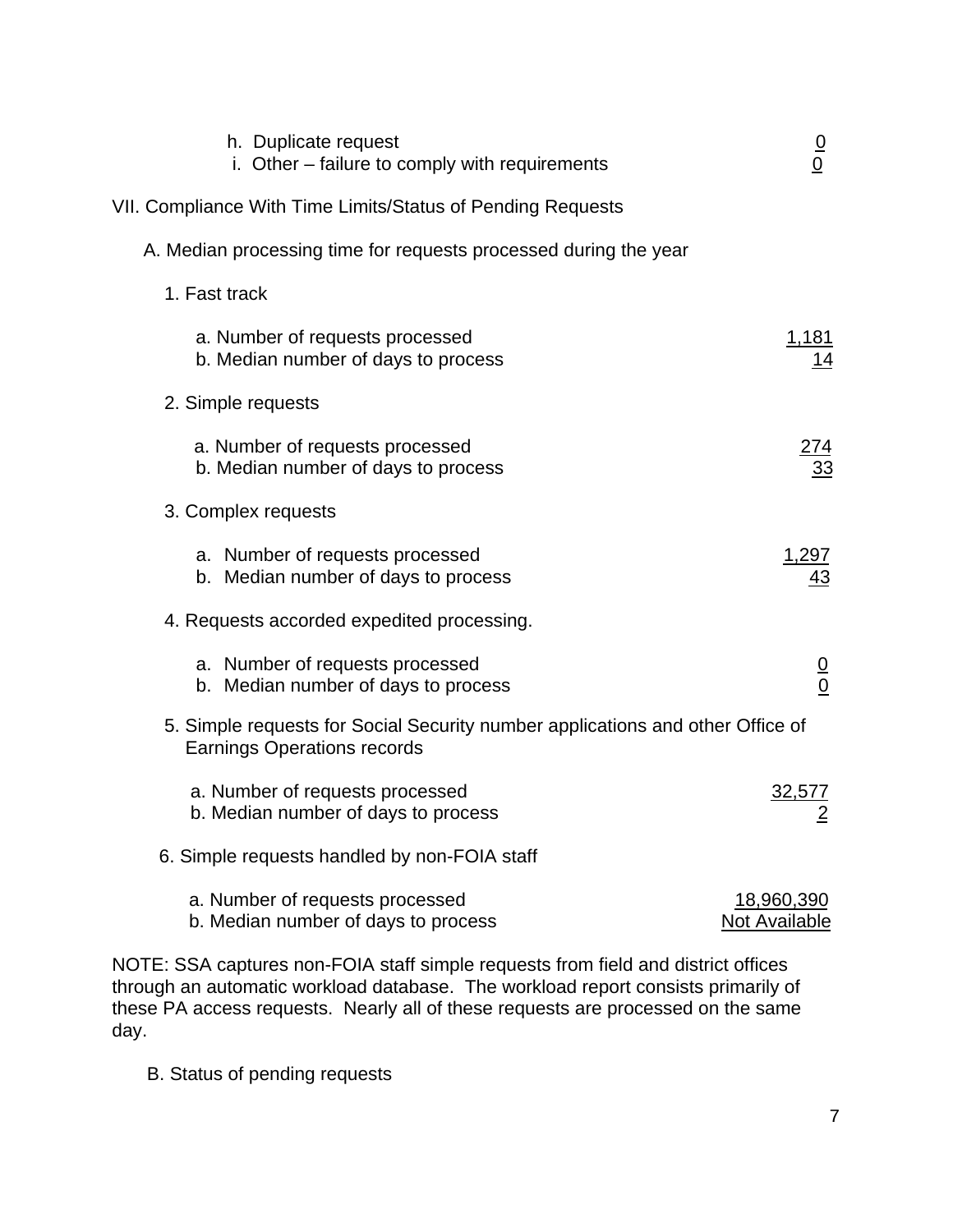| h. Duplicate request<br>i. Other – failure to comply with requirements                                               | $\frac{0}{0}$                      |
|----------------------------------------------------------------------------------------------------------------------|------------------------------------|
| VII. Compliance With Time Limits/Status of Pending Requests                                                          |                                    |
| A. Median processing time for requests processed during the year                                                     |                                    |
| 1. Fast track                                                                                                        |                                    |
| a. Number of requests processed<br>b. Median number of days to process                                               | <u>1,181</u>                       |
| 2. Simple requests                                                                                                   |                                    |
| a. Number of requests processed<br>b. Median number of days to process                                               |                                    |
| 3. Complex requests                                                                                                  |                                    |
| a. Number of requests processed<br>b. Median number of days to process                                               | <u>1,297</u><br>43                 |
| 4. Requests accorded expedited processing.                                                                           |                                    |
| a. Number of requests processed<br>b. Median number of days to process                                               | $\frac{0}{0}$                      |
| 5. Simple requests for Social Security number applications and other Office of<br><b>Earnings Operations records</b> |                                    |
| a. Number of requests processed<br>b. Median number of days to process                                               | 32,577                             |
| 6. Simple requests handled by non-FOIA staff                                                                         |                                    |
| a. Number of requests processed<br>b. Median number of days to process                                               | <u>18,960,390</u><br>Not Available |

NOTE: SSA captures non-FOIA staff simple requests from field and district offices through an automatic workload database. The workload report consists primarily of these PA access requests. Nearly all of these requests are processed on the same day.

B. Status of pending requests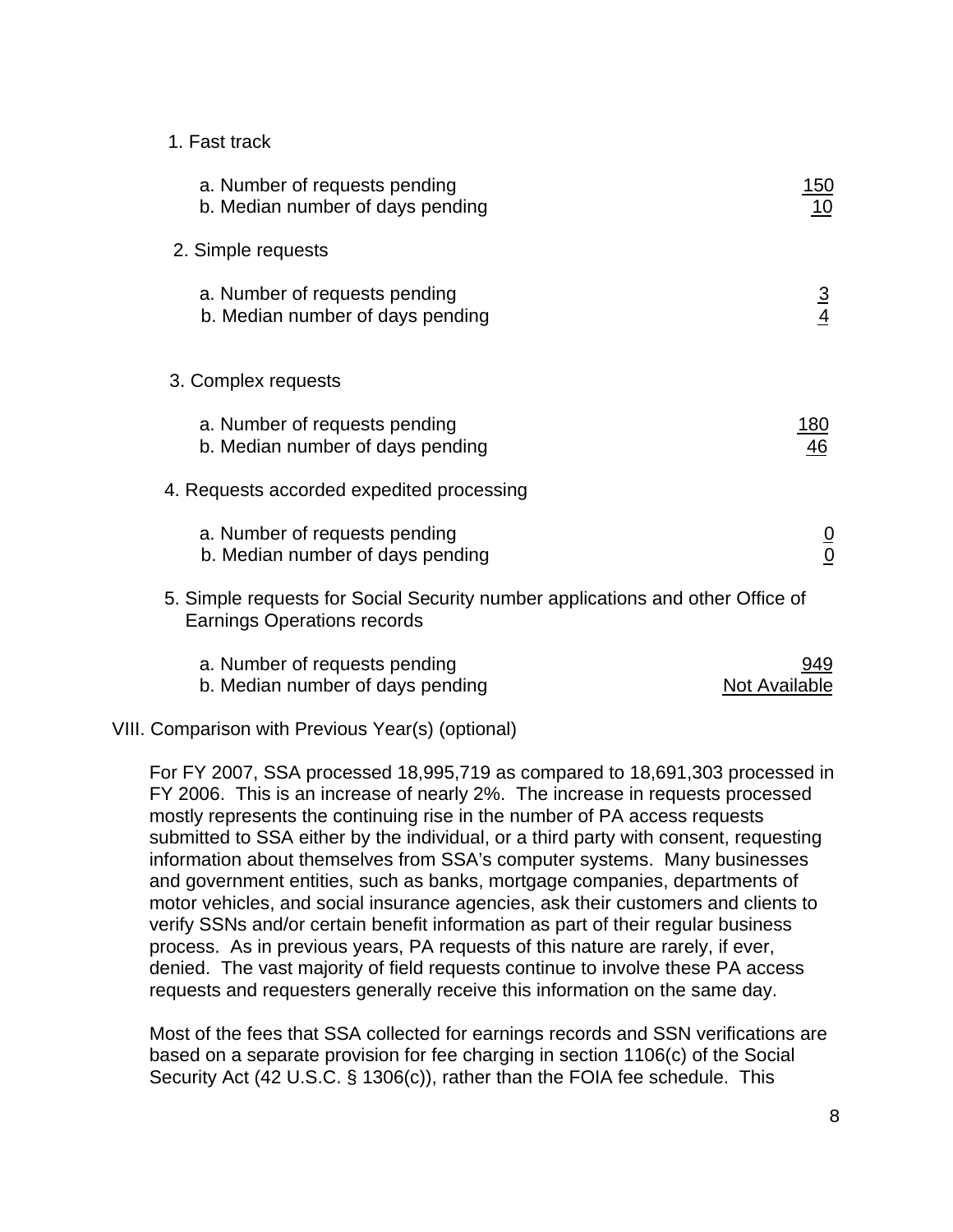#### 1. Fast track

| a. Number of requests pending<br>b. Median number of days pending                                                    | <u> 150</u><br>10     |
|----------------------------------------------------------------------------------------------------------------------|-----------------------|
| 2. Simple requests                                                                                                   |                       |
| a. Number of requests pending<br>b. Median number of days pending                                                    | $\frac{3}{4}$         |
| 3. Complex requests                                                                                                  |                       |
| a. Number of requests pending<br>b. Median number of days pending                                                    | <u> 180</u><br>46     |
| 4. Requests accorded expedited processing                                                                            |                       |
| a. Number of requests pending<br>b. Median number of days pending                                                    | $\frac{0}{0}$         |
| 5. Simple requests for Social Security number applications and other Office of<br><b>Earnings Operations records</b> |                       |
| a. Number of requests pending<br>b. Median number of days pending                                                    | 949.<br>Not Available |

#### VIII. Comparison with Previous Year(s) (optional)

 For FY 2007, SSA processed 18,995,719 as compared to 18,691,303 processed in FY 2006. This is an increase of nearly 2%. The increase in requests processed mostly represents the continuing rise in the number of PA access requests submitted to SSA either by the individual, or a third party with consent, requesting information about themselves from SSA's computer systems. Many businesses and government entities, such as banks, mortgage companies, departments of motor vehicles, and social insurance agencies, ask their customers and clients to verify SSNs and/or certain benefit information as part of their regular business process. As in previous years, PA requests of this nature are rarely, if ever, denied. The vast majority of field requests continue to involve these PA access requests and requesters generally receive this information on the same day.

 Most of the fees that SSA collected for earnings records and SSN verifications are based on a separate provision for fee charging in section 1106(c) of the Social Security Act (42 U.S.C. § 1306(c)), rather than the FOIA fee schedule. This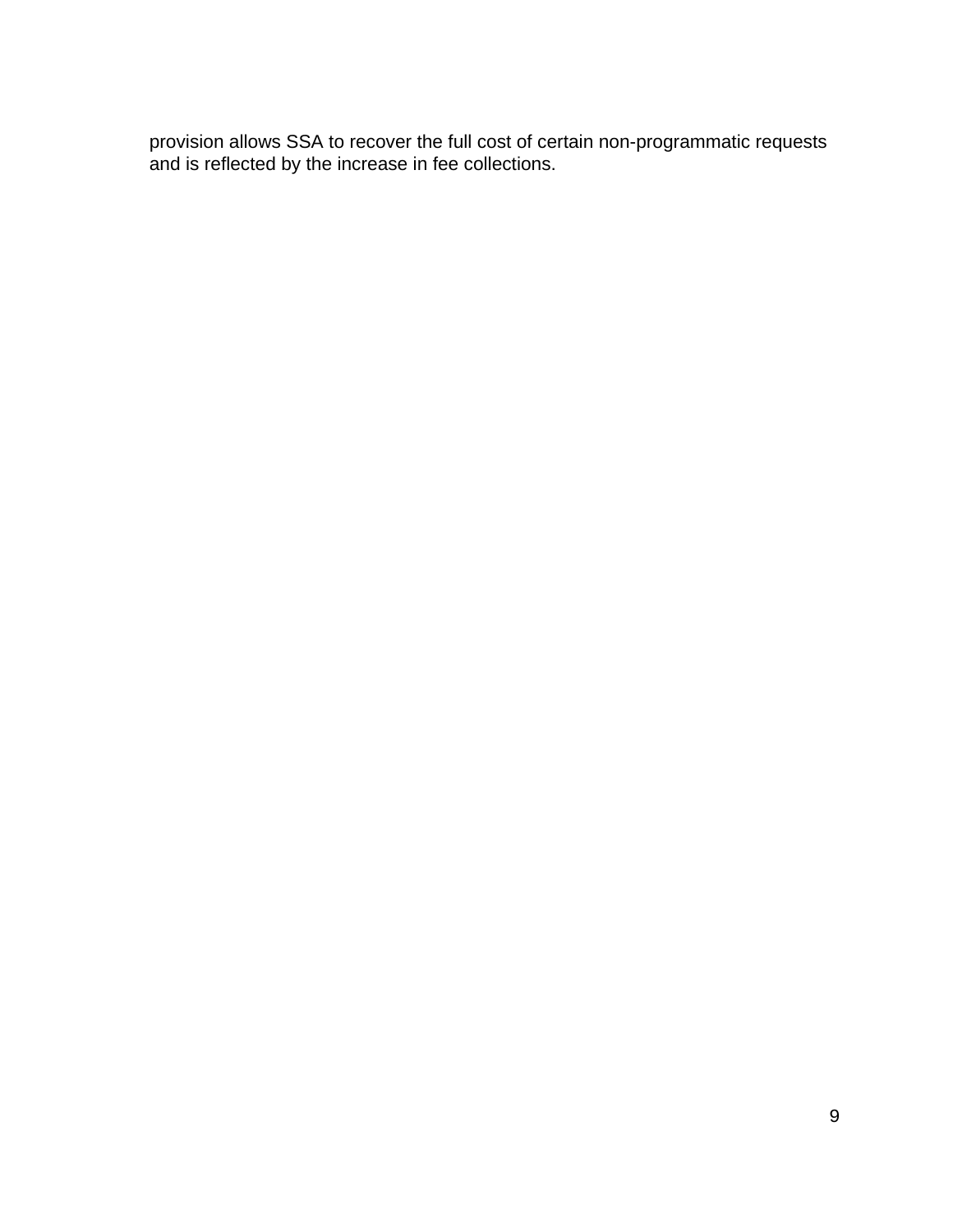provision allows SSA to recover the full cost of certain non-programmatic requests and is reflected by the increase in fee collections.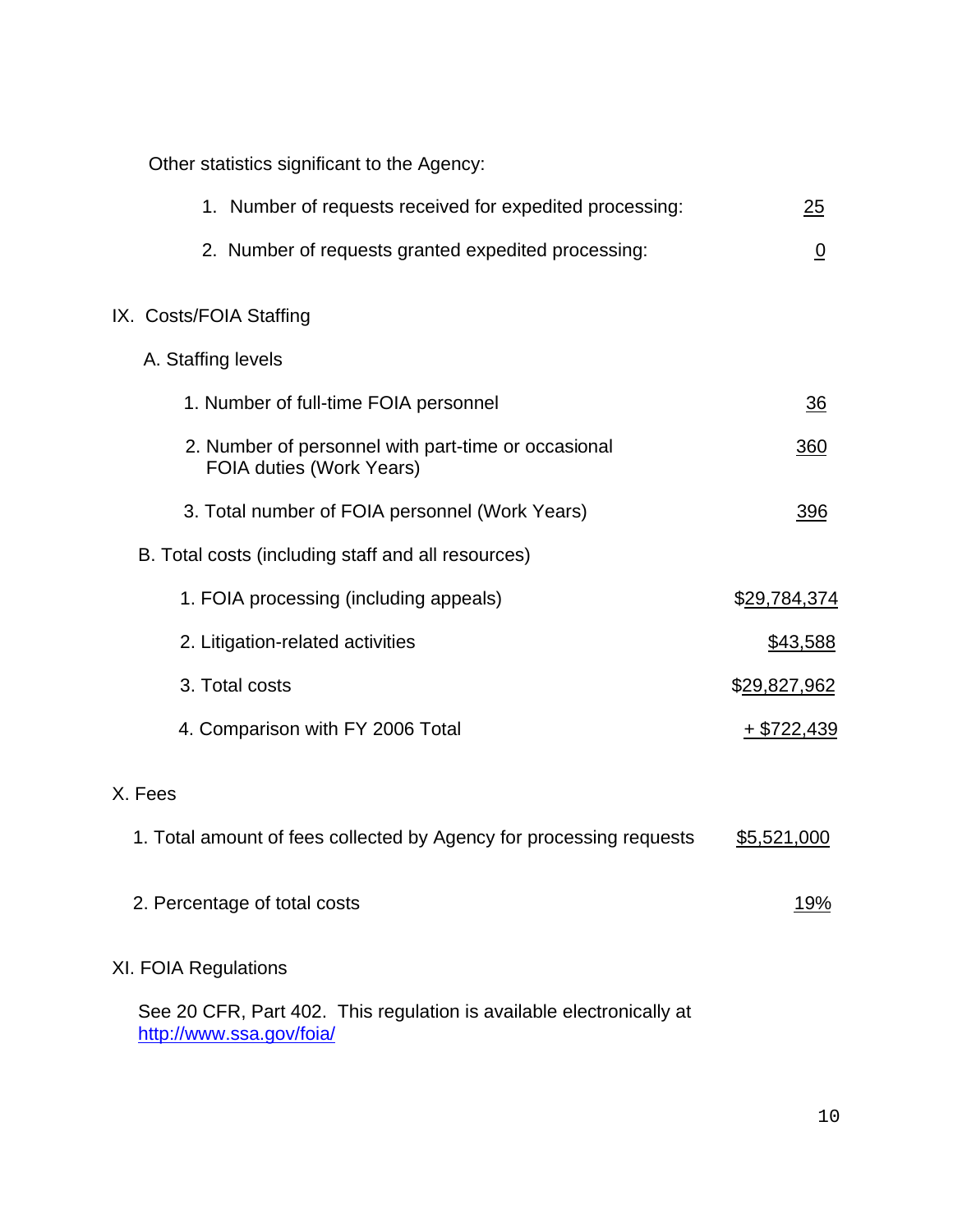Other statistics significant to the Agency:

| 1. Number of requests received for expedited processing:                        | <u> 25</u>     |
|---------------------------------------------------------------------------------|----------------|
| 2. Number of requests granted expedited processing:                             | $\overline{0}$ |
| IX. Costs/FOIA Staffing                                                         |                |
| A. Staffing levels                                                              |                |
| 1. Number of full-time FOIA personnel                                           | <u>36</u>      |
| 2. Number of personnel with part-time or occasional<br>FOIA duties (Work Years) | 360            |
| 3. Total number of FOIA personnel (Work Years)                                  | 396            |
| B. Total costs (including staff and all resources)                              |                |
| 1. FOIA processing (including appeals)                                          | \$29,784,374   |
| 2. Litigation-related activities                                                | \$43,588       |
| 3. Total costs                                                                  | \$29,827,962   |
| 4. Comparison with FY 2006 Total                                                | $+$ \$722,439  |
| X. Fees                                                                         |                |
| 1. Total amount of fees collected by Agency for processing requests             | \$5,521,000    |
| 2. Percentage of total costs                                                    | <u> 19%</u>    |
| XI. FOIA Regulations                                                            |                |
| See 20 CFR, Part 402. This regulation is available electronically at            |                |

<http://www.ssa.gov/foia/>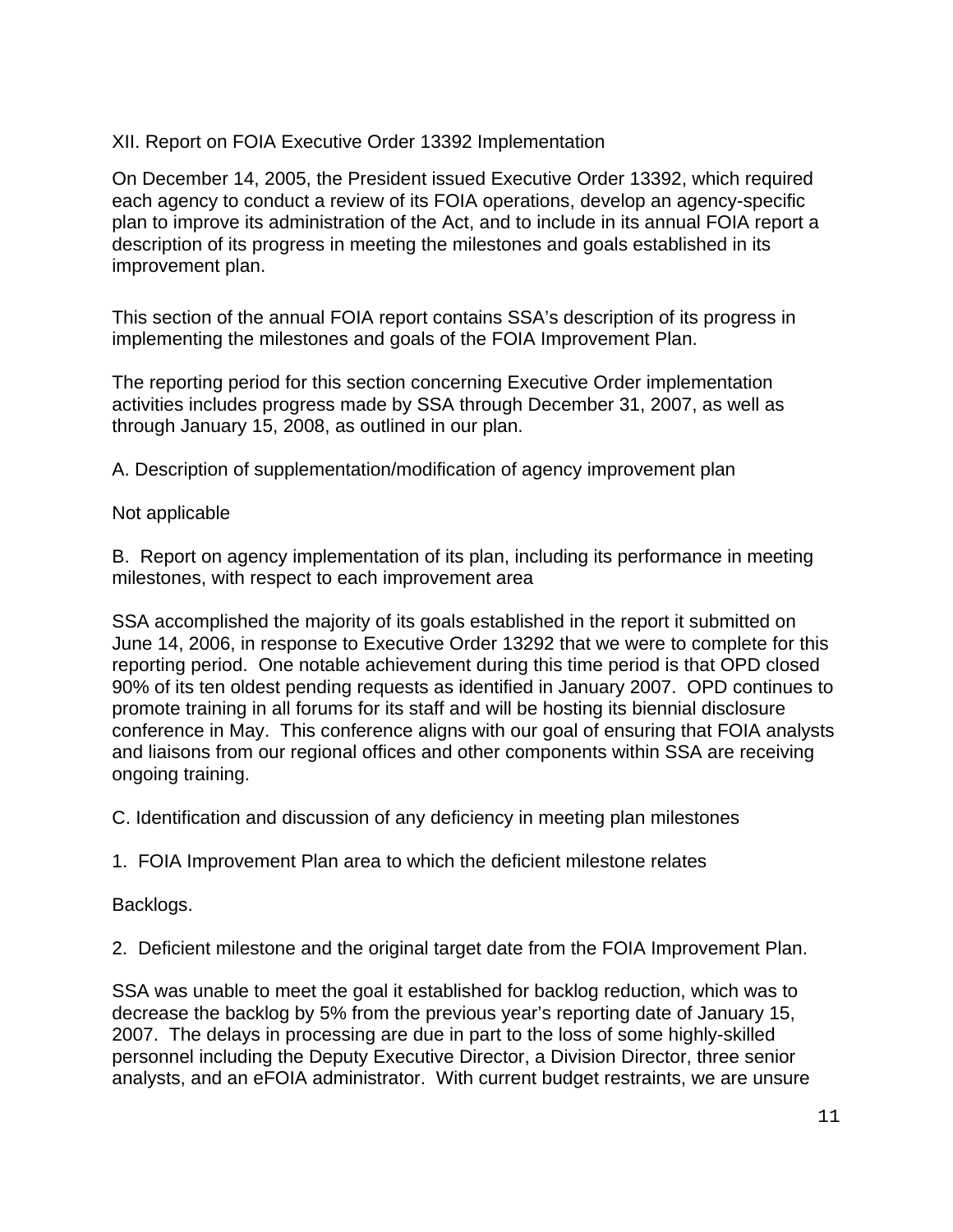# XII. Report on FOIA Executive Order 13392 Implementation

On December 14, 2005, the President issued Executive Order 13392, which required each agency to conduct a review of its FOIA operations, develop an agency-specific plan to improve its administration of the Act, and to include in its annual FOIA report a description of its progress in meeting the milestones and goals established in its improvement plan.

This section of the annual FOIA report contains SSA's description of its progress in implementing the milestones and goals of the FOIA Improvement Plan.

The reporting period for this section concerning Executive Order implementation activities includes progress made by SSA through December 31, 2007, as well as through January 15, 2008, as outlined in our plan.

A. Description of supplementation/modification of agency improvement plan

## Not applicable

B. Report on agency implementation of its plan, including its performance in meeting milestones, with respect to each improvement area

SSA accomplished the majority of its goals established in the report it submitted on June 14, 2006, in response to Executive Order 13292 that we were to complete for this reporting period. One notable achievement during this time period is that OPD closed 90% of its ten oldest pending requests as identified in January 2007. OPD continues to promote training in all forums for its staff and will be hosting its biennial disclosure conference in May. This conference aligns with our goal of ensuring that FOIA analysts and liaisons from our regional offices and other components within SSA are receiving ongoing training.

C. Identification and discussion of any deficiency in meeting plan milestones

1. FOIA Improvement Plan area to which the deficient milestone relates

Backlogs.

2. Deficient milestone and the original target date from the FOIA Improvement Plan.

SSA was unable to meet the goal it established for backlog reduction, which was to decrease the backlog by 5% from the previous year's reporting date of January 15, 2007. The delays in processing are due in part to the loss of some highly-skilled personnel including the Deputy Executive Director, a Division Director, three senior analysts, and an eFOIA administrator. With current budget restraints, we are unsure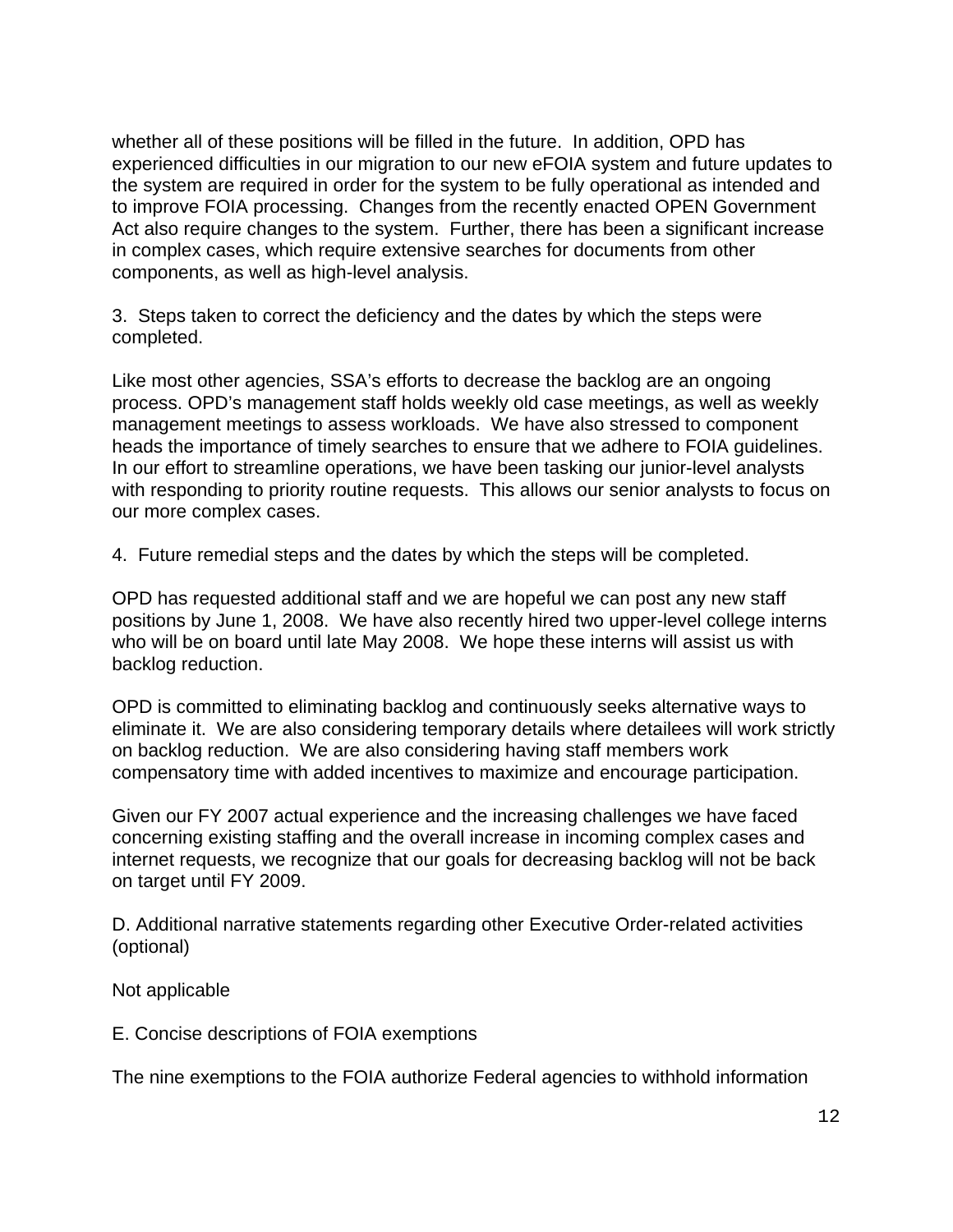whether all of these positions will be filled in the future. In addition, OPD has experienced difficulties in our migration to our new eFOIA system and future updates to the system are required in order for the system to be fully operational as intended and to improve FOIA processing. Changes from the recently enacted OPEN Government Act also require changes to the system. Further, there has been a significant increase in complex cases, which require extensive searches for documents from other components, as well as high-level analysis.

3. Steps taken to correct the deficiency and the dates by which the steps were completed.

Like most other agencies, SSA's efforts to decrease the backlog are an ongoing process. OPD's management staff holds weekly old case meetings, as well as weekly management meetings to assess workloads. We have also stressed to component heads the importance of timely searches to ensure that we adhere to FOIA guidelines. In our effort to streamline operations, we have been tasking our junior-level analysts with responding to priority routine requests. This allows our senior analysts to focus on our more complex cases.

4. Future remedial steps and the dates by which the steps will be completed.

OPD has requested additional staff and we are hopeful we can post any new staff positions by June 1, 2008. We have also recently hired two upper-level college interns who will be on board until late May 2008. We hope these interns will assist us with backlog reduction.

OPD is committed to eliminating backlog and continuously seeks alternative ways to eliminate it. We are also considering temporary details where detailees will work strictly on backlog reduction. We are also considering having staff members work compensatory time with added incentives to maximize and encourage participation.

Given our FY 2007 actual experience and the increasing challenges we have faced concerning existing staffing and the overall increase in incoming complex cases and internet requests, we recognize that our goals for decreasing backlog will not be back on target until FY 2009.

D. Additional narrative statements regarding other Executive Order-related activities (optional)

Not applicable

E. Concise descriptions of FOIA exemptions

The nine exemptions to the FOIA authorize Federal agencies to withhold information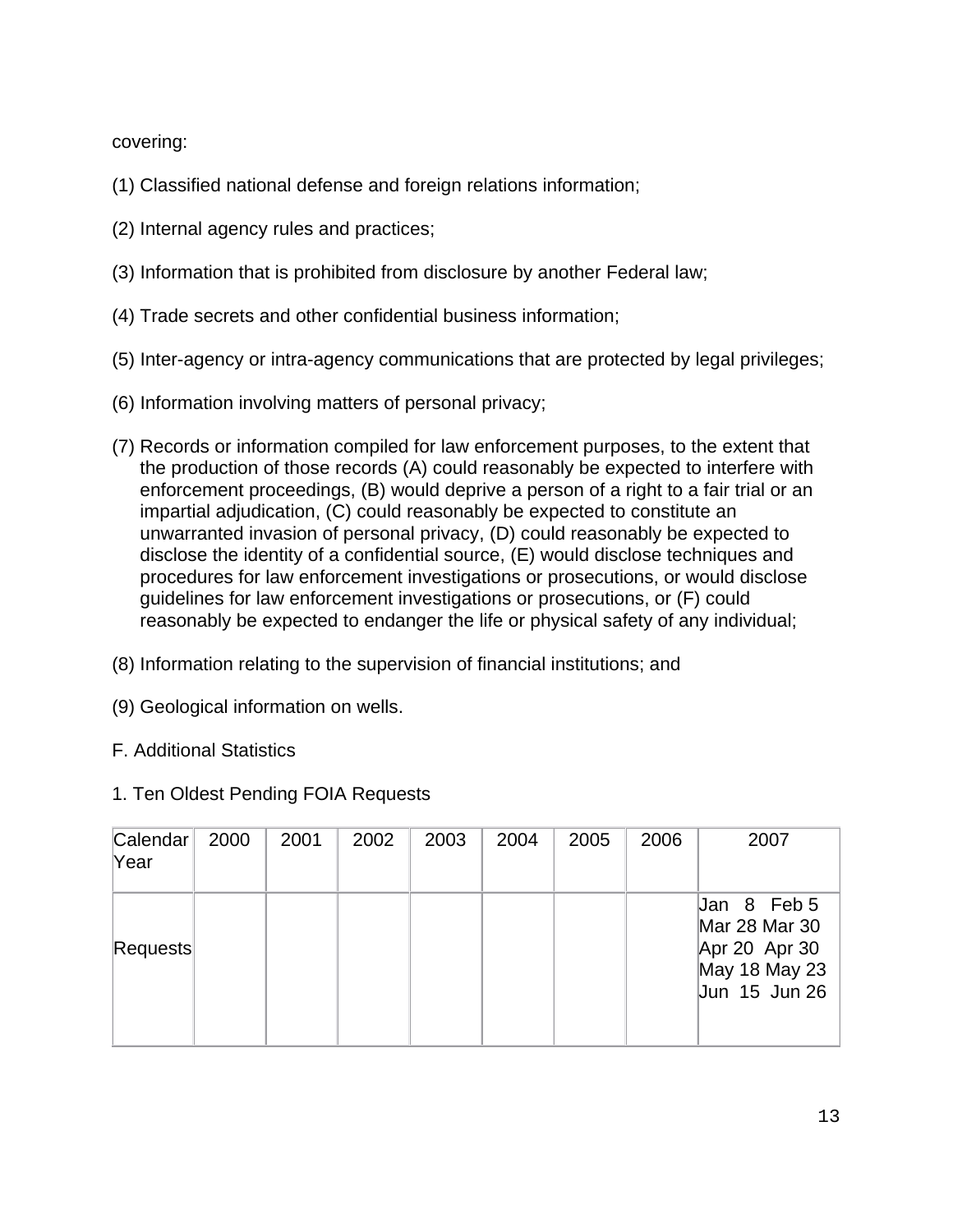covering:

- (1) Classified national defense and foreign relations information;
- (2) Internal agency rules and practices;
- (3) Information that is prohibited from disclosure by another Federal law;
- (4) Trade secrets and other confidential business information;
- (5) Inter-agency or intra-agency communications that are protected by legal privileges;
- (6) Information involving matters of personal privacy;
- (7) Records or information compiled for law enforcement purposes, to the extent that the production of those records (A) could reasonably be expected to interfere with enforcement proceedings, (B) would deprive a person of a right to a fair trial or an impartial adjudication, (C) could reasonably be expected to constitute an unwarranted invasion of personal privacy, (D) could reasonably be expected to disclose the identity of a confidential source, (E) would disclose techniques and procedures for law enforcement investigations or prosecutions, or would disclose guidelines for law enforcement investigations or prosecutions, or (F) could reasonably be expected to endanger the life or physical safety of any individual;
- (8) Information relating to the supervision of financial institutions; and
- (9) Geological information on wells.
- F. Additional Statistics
- 1. Ten Oldest Pending FOIA Requests

| Calendar<br>Year | 2000 | 2001 | 2002 | 2003 | 2004 | 2005 | 2006 | 2007                                                                            |
|------------------|------|------|------|------|------|------|------|---------------------------------------------------------------------------------|
| Requests         |      |      |      |      |      |      |      | Jan 8 Feb 5<br>Mar 28 Mar 30<br>Apr 20 Apr 30<br>May 18 May 23<br>Jun 15 Jun 26 |
|                  |      |      |      |      |      |      |      |                                                                                 |